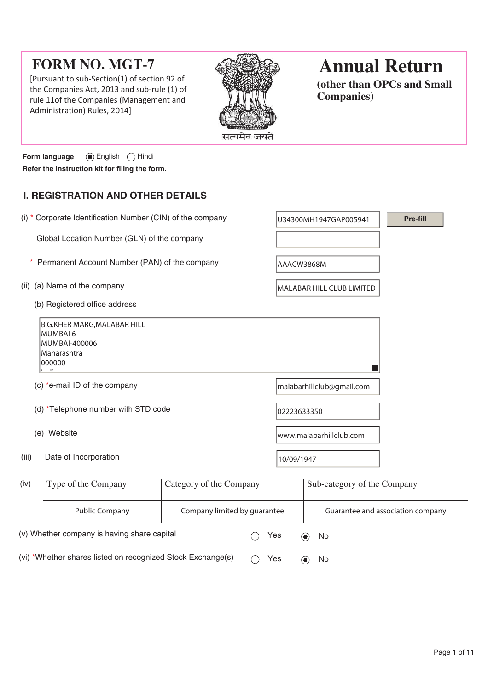# **FORM NO. MGT-7**

[Pursuant to sub-Section(1) of section 92 of the Companies Act, 2013 and sub-rule (1) of rule 11of the Companies (Management and Administration) Rules, 2014]



# **Annual Return**

**(other than OPCs and Small Companies)**

**Form language** English Hindi **Refer the instruction kit for filing the form.**

# **I. REGISTRATION AND OTHER DETAILS**

| (i) * Corporate Identification Number (CIN) of the company                                         |                         | U34300MH1947GAP005941   |                                  | <b>Pre-fill</b> |
|----------------------------------------------------------------------------------------------------|-------------------------|-------------------------|----------------------------------|-----------------|
| Global Location Number (GLN) of the company                                                        |                         |                         |                                  |                 |
| Permanent Account Number (PAN) of the company                                                      |                         | AAACW3868M              |                                  |                 |
| (a) Name of the company<br>(ii)                                                                    |                         |                         | <b>MALABAR HILL CLUB LIMITED</b> |                 |
| (b) Registered office address                                                                      |                         |                         |                                  |                 |
| <b>B.G.KHER MARG, MALABAR HILL</b><br>MUMBAI 6<br>MUMBAI-400006<br>Maharashtra<br>000000<br>د : ام |                         |                         | H                                |                 |
| (c) *e-mail ID of the company                                                                      |                         |                         | malabarhillclub@gmail.com        |                 |
| (d) *Telephone number with STD code                                                                |                         | 02223633350             |                                  |                 |
| (e) Website                                                                                        |                         | www.malabarhillclub.com |                                  |                 |
| Date of Incorporation<br>(iii)                                                                     |                         | 10/09/1947              |                                  |                 |
| Type of the Company<br>(iv)                                                                        | Category of the Company |                         | Sub-category of the Company      |                 |

| (iv)                                                        | Type of the Company | Category of the Company      |     |                                | Sub-category of the Company       |  |  |
|-------------------------------------------------------------|---------------------|------------------------------|-----|--------------------------------|-----------------------------------|--|--|
|                                                             | Public Company      | Company limited by guarantee |     |                                | Guarantee and association company |  |  |
| (v) Whether company is having share capital                 |                     | Yes                          |     | No<br>$\left( \bullet \right)$ |                                   |  |  |
| (vi) *Whether shares listed on recognized Stock Exchange(s) |                     |                              | Yes |                                | No<br>$\left( \bullet \right)$    |  |  |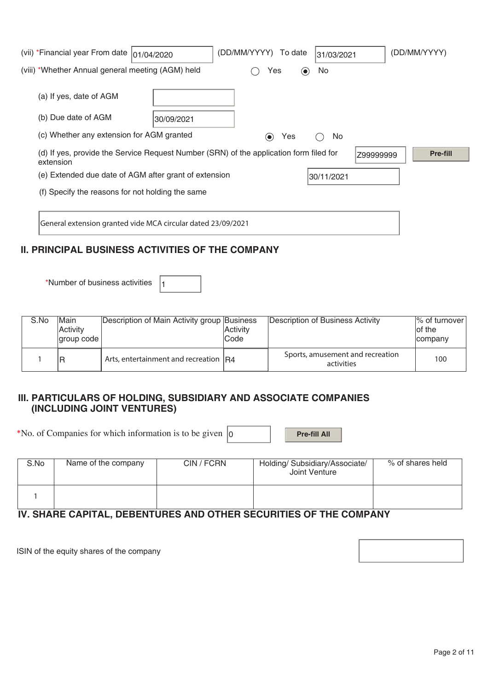| (vii) *Financial year From date                                     | 01/04/2020 | (DD/MM/YYYY) To date                                                                   | 31/03/2021 | (DD/MM/YYYY) |  |
|---------------------------------------------------------------------|------------|----------------------------------------------------------------------------------------|------------|--------------|--|
| (viii) *Whether Annual general meeting (AGM) held                   |            | Yes<br>$(\bullet)$                                                                     | No.        |              |  |
| (a) If yes, date of AGM                                             |            |                                                                                        |            |              |  |
| (b) Due date of AGM                                                 | 30/09/2021 |                                                                                        |            |              |  |
| (c) Whether any extension for AGM granted                           |            | Yes<br>$\left( \bullet \right)$                                                        | No.        |              |  |
| extension                                                           |            | (d) If yes, provide the Service Request Number (SRN) of the application form filed for | Z99999999  | Pre-fill     |  |
| (e) Extended due date of AGM after grant of extension<br>30/11/2021 |            |                                                                                        |            |              |  |
| (f) Specify the reasons for not holding the same                    |            |                                                                                        |            |              |  |
|                                                                     |            |                                                                                        |            |              |  |
| General extension granted vide MCA circular dated 23/09/2021        |            |                                                                                        |            |              |  |

# **II. PRINCIPAL BUSINESS ACTIVITIES OF THE COMPANY**

\*Number of business activities  $\vert_1$ 

| S.No | <b>Main</b><br>Activity<br>coup code | Description of Main Activity group Business | Activity<br>lCode | Description of Business Activity               | $\frac{1}{6}$ of turnover<br>lof the<br>company |
|------|--------------------------------------|---------------------------------------------|-------------------|------------------------------------------------|-------------------------------------------------|
|      | R                                    | Arts, entertainment and recreation $ R4 $   |                   | Sports, amusement and recreation<br>activities | 100                                             |

## **III. PARTICULARS OF HOLDING, SUBSIDIARY AND ASSOCIATE COMPANIES (INCLUDING JOINT VENTURES)**

\*No. of Companies for which information is to be given  $\vert_0$  **Pre-fill All** 

| S.No | Name of the company | CIN / FCRN | Holding/ Subsidiary/Associate/<br>Joint Venture | % of shares held |
|------|---------------------|------------|-------------------------------------------------|------------------|
|      |                     |            |                                                 |                  |

# **IV. SHARE CAPITAL, DEBENTURES AND OTHER SECURITIES OF THE COMPANY**

ISIN of the equity shares of the company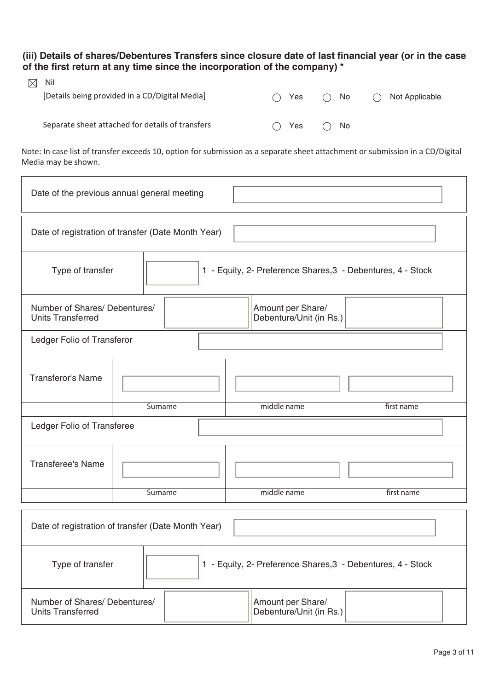**(iii) Details of shares/Debentures Transfers since closure date of last financial year (or in the case of the first return at any time since the incorporation of the company) \*** 

| $\boxtimes$ | - Nil                                            |                                        |              |                          |
|-------------|--------------------------------------------------|----------------------------------------|--------------|--------------------------|
|             | [Details being provided in a CD/Digital Media]   | () Yes                                 | $\bigcap$ No | $\bigcap$ Not Applicable |
|             |                                                  |                                        |              |                          |
|             | Separate sheet attached for details of transfers | $\rightarrow$ Yes $\rightarrow$<br>( ) | $\bigcap$ No |                          |

Note: In case list of transfer exceeds 10, option for submission as a separate sheet attachment or submission in a CD/Digital Media may be shown.

| Date of the previous annual general meeting        |                               |  |  |             |                                                             |            |  |
|----------------------------------------------------|-------------------------------|--|--|-------------|-------------------------------------------------------------|------------|--|
| Date of registration of transfer (Date Month Year) |                               |  |  |             |                                                             |            |  |
| Type of transfer                                   |                               |  |  |             | 1 - Equity, 2- Preference Shares, 3 - Debentures, 4 - Stock |            |  |
| <b>Units Transferred</b>                           | Number of Shares/ Debentures/ |  |  |             | Amount per Share/<br>Debenture/Unit (in Rs.)                |            |  |
| Ledger Folio of Transferor                         |                               |  |  |             |                                                             |            |  |
| <b>Transferor's Name</b>                           |                               |  |  |             |                                                             |            |  |
|                                                    | Surname                       |  |  | middle name |                                                             | first name |  |
| Ledger Folio of Transferee                         |                               |  |  |             |                                                             |            |  |
| <b>Transferee's Name</b>                           |                               |  |  |             |                                                             |            |  |
|                                                    | Surname                       |  |  |             | middle name                                                 | first name |  |
| Date of registration of transfer (Date Month Year) |                               |  |  |             |                                                             |            |  |
| Type of transfer                                   |                               |  |  |             | 1 - Equity, 2- Preference Shares, 3 - Debentures, 4 - Stock |            |  |

Amount per Share/ Debenture/Unit (in Rs.)

Number of Shares/ Debentures/

Units Transferred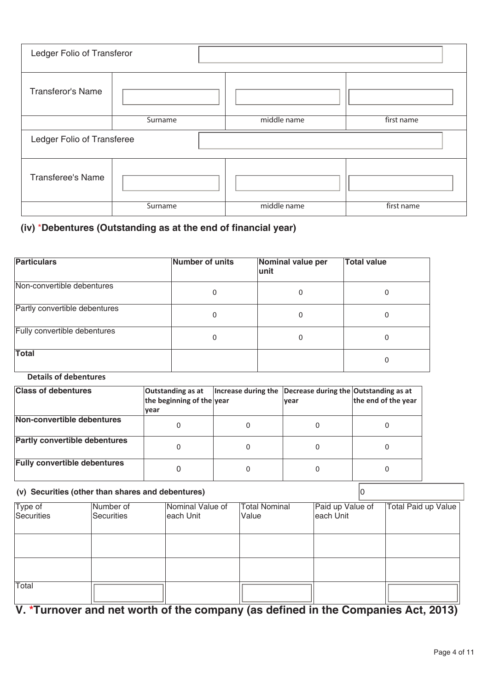| Ledger Folio of Transferor |         |             |            |  |  |  |
|----------------------------|---------|-------------|------------|--|--|--|
| <b>Transferor's Name</b>   |         |             |            |  |  |  |
|                            | Surname | middle name | first name |  |  |  |
| Ledger Folio of Transferee |         |             |            |  |  |  |
| <b>Transferee's Name</b>   |         |             |            |  |  |  |
|                            | Surname | middle name | first name |  |  |  |

## **(iv)** \***Debentures (Outstanding as at the end of financial year)**

| <b>Particulars</b>            | Number of units | Nominal value per<br>lunit | <b>Total value</b> |
|-------------------------------|-----------------|----------------------------|--------------------|
| Non-convertible debentures    | 0               | 0                          | O                  |
| Partly convertible debentures | 0               | 0                          |                    |
| Fully convertible debentures  | 0               | 0                          | 0                  |
| Total                         |                 |                            | 0                  |

### **Details of debentures**

| <b>Class of debentures</b>           | Outstanding as at<br>the beginning of the year<br>vear | Increase during the | Decrease during the Outstanding as at<br><b>vear</b> | the end of the year |
|--------------------------------------|--------------------------------------------------------|---------------------|------------------------------------------------------|---------------------|
| Non-convertible debentures           |                                                        |                     |                                                      |                     |
| <b>Partly convertible debentures</b> |                                                        |                     |                                                      |                     |
| <b>Fully convertible debentures</b>  |                                                        |                     |                                                      |                     |

#### **(v) Securities (other than shares and debentures)** 0 Type of Securities Number of **Securities** Nominal Value of each Unit Total Nominal Value Paid up Value of each Unit Total Paid up Value Total

**V. \*Turnover and net worth of the company (as defined in the Companies Act, 2013)**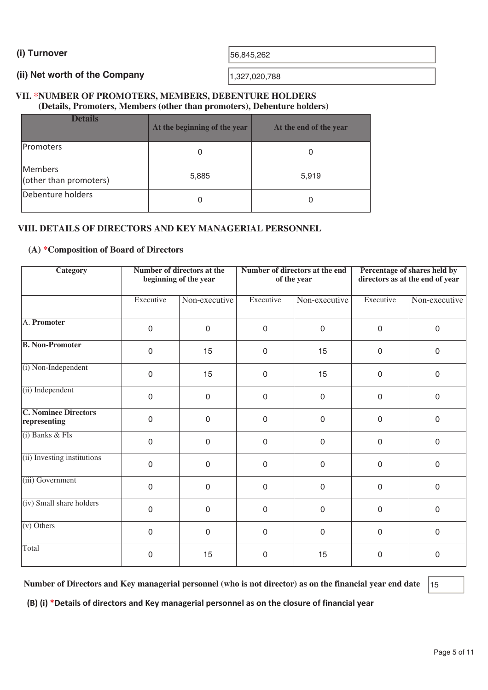**(i) Turnover**  56,845,262

### **(ii) Net worth of the Company**

1,327,020,788

### **VII. \*NUMBER OF PROMOTERS, MEMBERS, DEBENTURE HOLDERS (Details, Promoters, Members (other than promoters), Debenture holders)**

| <b>Details</b>                    | At the beginning of the year | At the end of the year |
|-----------------------------------|------------------------------|------------------------|
| <b>IPromoters</b>                 | 0                            | O                      |
| Members<br>(other than promoters) | 5,885                        | 5,919                  |
| Debenture holders                 | 0                            |                        |

## **VIII. DETAILS OF DIRECTORS AND KEY MANAGERIAL PERSONNEL**

#### **(A) \*Composition of Board of Directors**

| <b>Category</b>                             | <b>Number of directors at the</b><br>beginning of the year |               |             | Number of directors at the end<br>of the year | Percentage of shares held by<br>directors as at the end of year |               |  |
|---------------------------------------------|------------------------------------------------------------|---------------|-------------|-----------------------------------------------|-----------------------------------------------------------------|---------------|--|
|                                             | Executive                                                  | Non-executive | Executive   | Non-executive                                 | Executive                                                       | Non-executive |  |
| A. Promoter                                 | $\mathbf 0$                                                | $\mathbf 0$   | $\mathsf 0$ | $\mathbf 0$                                   | 0                                                               | $\mathbf 0$   |  |
| <b>B. Non-Promoter</b>                      | $\mathbf 0$                                                | 15            | $\mathbf 0$ | 15                                            | 0                                                               | $\mathbf 0$   |  |
| (i) Non-Independent                         | $\mathbf 0$                                                | 15            | $\mathbf 0$ | 15                                            | 0                                                               | $\mathbf 0$   |  |
| (ii) Independent                            | $\mathbf 0$                                                | $\mathbf 0$   | 0           | $\mathbf 0$                                   | 0                                                               | $\mathbf 0$   |  |
| <b>C. Nominee Directors</b><br>representing | $\mathbf 0$                                                | $\mathbf 0$   | $\mathbf 0$ | $\mathbf 0$                                   | 0                                                               | $\mathbf 0$   |  |
| $(i)$ Banks & FIs                           | $\mathbf 0$                                                | $\mathbf 0$   | $\mathbf 0$ | $\mathbf 0$                                   | $\mathbf 0$                                                     | $\mathbf 0$   |  |
| (ii) Investing institutions                 | $\mathbf 0$                                                | $\mathbf 0$   | $\mathbf 0$ | $\mathbf 0$                                   | $\mathbf 0$                                                     | $\mathbf 0$   |  |
| (iii) Government                            | $\mathbf 0$                                                | $\mathbf 0$   | 0           | $\mathbf 0$                                   | 0                                                               | $\mathbf 0$   |  |
| (iv) Small share holders                    | $\mathsf{O}\xspace$                                        | $\mathbf 0$   | 0           | $\mathbf 0$                                   | 0                                                               | $\mathbf 0$   |  |
| $(v)$ Others                                | $\mathbf 0$                                                | $\mathbf 0$   | $\Omega$    | $\mathbf 0$                                   | 0                                                               | $\mathbf 0$   |  |
| Total                                       | 0                                                          | 15            | 0           | 15                                            | 0                                                               | $\mathbf 0$   |  |

**Number of Directors and Key managerial personnel (who is not director) as on the financial year end date** 15

**(B) (i) \*Details of directors and Key managerial personnel as on the closure of financial year**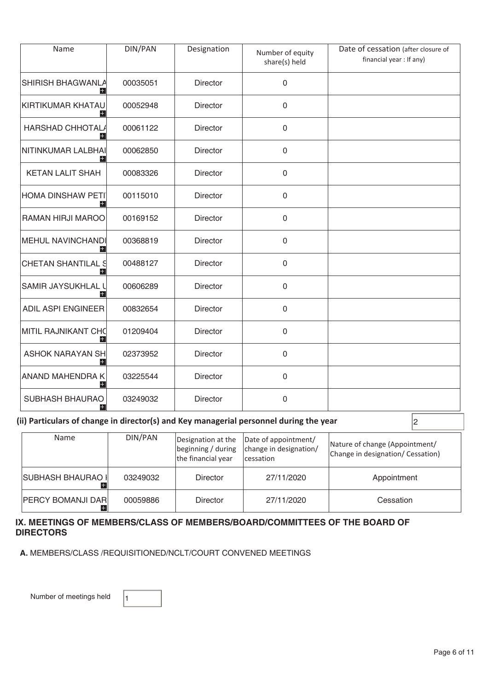| Name                                | DIN/PAN  | Designation     | Number of equity<br>share(s) held | Date of cessation (after closure of<br>financial year : If any) |
|-------------------------------------|----------|-----------------|-----------------------------------|-----------------------------------------------------------------|
| SHIRISH BHAGWANLA<br>$\pm$          | 00035051 | <b>Director</b> | 0                                 |                                                                 |
| KIRTIKUMAR KHATAU<br>$\pm$          | 00052948 | <b>Director</b> | 0                                 |                                                                 |
| <b>HARSHAD CHHOTAL/</b>             | 00061122 | <b>Director</b> | 0                                 |                                                                 |
| NITINKUMAR LALBHAI<br>H.            | 00062850 | Director        | $\mathsf 0$                       |                                                                 |
| <b>KETAN LALIT SHAH</b>             | 00083326 | <b>Director</b> | 0                                 |                                                                 |
| <b>HOMA DINSHAW PETI</b><br>$+$     | 00115010 | <b>Director</b> | $\mathsf{O}\xspace$               |                                                                 |
| RAMAN HIRJI MAROO                   | 00169152 | <b>Director</b> | $\mathbf 0$                       |                                                                 |
| <b>MEHUL NAVINCHANDI</b><br>÷       | 00368819 | Director        | $\mathsf{O}\xspace$               |                                                                 |
| <b>CHETAN SHANTILAL S</b><br>$+$    | 00488127 | <b>Director</b> | 0                                 |                                                                 |
| SAMIR JAYSUKHLAL L                  | 00606289 | Director        | 0                                 |                                                                 |
| <b>ADIL ASPI ENGINEER</b>           | 00832654 | <b>Director</b> | $\mathbf 0$                       |                                                                 |
| <b>MITIL RAJNIKANT CHC</b><br>$\pm$ | 01209404 | Director        | 0                                 |                                                                 |
| <b>ASHOK NARAYAN SH</b><br>Ŧ        | 02373952 | <b>Director</b> | $\mathsf 0$                       |                                                                 |
| <b>ANAND MAHENDRA K</b><br>$+$      | 03225544 | Director        | 0                                 |                                                                 |
| <b>SUBHASH BHAURAO</b><br>Ŧ         | 03249032 | Director        | $\mathsf 0$                       |                                                                 |

### (ii) Particulars of change in director(s) and Key managerial personnel during the year  $|_2$

| Name                      | DIN/PAN  | Designation at the<br>beginning / during | Date of appointment/<br>change in designation/ | Nature of change (Appointment/    |  |
|---------------------------|----------|------------------------------------------|------------------------------------------------|-----------------------------------|--|
|                           |          | the financial year                       | <i>cessation</i>                               | Change in designation/ Cessation) |  |
| SUBHASH BHAURAO I         | 03249032 | Director                                 | 27/11/2020                                     | Appointment                       |  |
| <b>PERCY BOMANJI DARI</b> | 00059886 | Director                                 | 27/11/2020                                     | Cessation                         |  |

#### **IX. MEETINGS OF MEMBERS/CLASS OF MEMBERS/BOARD/COMMITTEES OF THE BOARD OF DIRECTORS**

 **A.** MEMBERS/CLASS /REQUISITIONED/NCLT/COURT CONVENED MEETINGS

Number of meetings held  $\vert$ <sup>1</sup>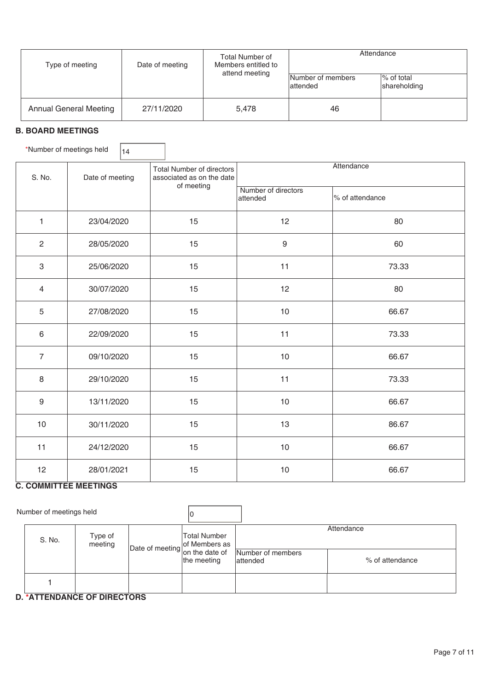| Type of meeting               | Date of meeting | Total Number of<br>Members entitled to<br>attend meeting | Attendance                     |                            |
|-------------------------------|-----------------|----------------------------------------------------------|--------------------------------|----------------------------|
|                               |                 |                                                          | Number of members<br>lattended | % of total<br>shareholding |
| <b>Annual General Meeting</b> | 27/11/2020      | 5,478                                                    | 46                             |                            |

### **B. BOARD MEETINGS**

\*Number of meetings held  $\vert_{14}$ 

| S. No.           | Date of meeting | <b>Total Number of directors</b><br>associated as on the date<br>of meeting | Attendance                      |                 |  |  |  |  |
|------------------|-----------------|-----------------------------------------------------------------------------|---------------------------------|-----------------|--|--|--|--|
|                  |                 |                                                                             | Number of directors<br>attended | % of attendance |  |  |  |  |
| $\mathbf{1}$     | 23/04/2020      | 15                                                                          | 12                              | 80              |  |  |  |  |
| $\overline{c}$   | 28/05/2020      | 15                                                                          | 9                               | 60              |  |  |  |  |
| $\,3$            | 25/06/2020      | 15                                                                          | 11                              | 73.33           |  |  |  |  |
| 4                | 30/07/2020      | 15                                                                          | 12                              | 80              |  |  |  |  |
| 5                | 27/08/2020      | 15                                                                          | 10                              | 66.67           |  |  |  |  |
| $\,6\,$          | 22/09/2020      | 15                                                                          | 11                              | 73.33           |  |  |  |  |
| $\overline{7}$   | 09/10/2020      | 15                                                                          | $10$                            | 66.67           |  |  |  |  |
| $\,8\,$          | 29/10/2020      | 15                                                                          | 11                              | 73.33           |  |  |  |  |
| $\boldsymbol{9}$ | 13/11/2020      | 15                                                                          | 10                              | 66.67           |  |  |  |  |
| 10               | 30/11/2020      | 15                                                                          | 13                              | 86.67           |  |  |  |  |
| 11               | 24/12/2020      | 15                                                                          | 10                              | 66.67           |  |  |  |  |
| 12               | 28/01/2021      | 15                                                                          | 10                              | 66.67           |  |  |  |  |

#### **C. COMMITTEE MEETINGS**

| Number of meetings held |                    |                                                 |                                    |                               |                               |
|-------------------------|--------------------|-------------------------------------------------|------------------------------------|-------------------------------|-------------------------------|
| S. No.                  | Type of<br>meeting | Date of meeting of Members as<br>on the date of | <b>Total Number</b><br>the meeting | Number of members<br>attended | Attendance<br>% of attendance |
|                         |                    |                                                 |                                    |                               |                               |

#### **D. \*ATTENDANCE OF DIRECTORS**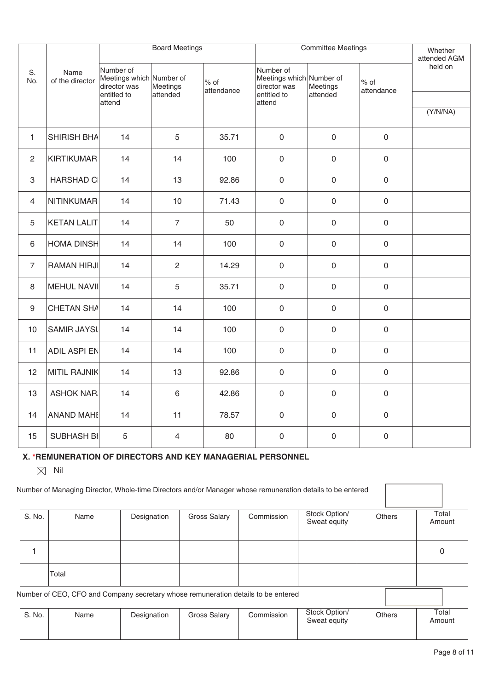|                |                         | <b>Board Meetings</b>                                                |                      |                                | <b>Committee Meetings</b>                                            | Whether<br>attended AGM |                      |          |
|----------------|-------------------------|----------------------------------------------------------------------|----------------------|--------------------------------|----------------------------------------------------------------------|-------------------------|----------------------|----------|
| S.<br>No.      | Name<br>of the director | Number of<br>Meetings which Number of<br>director was<br>entitled to | Meetings<br>attended | $\frac{8}{5}$ of<br>attendance | Number of<br>Meetings which Number of<br>director was<br>entitled to | Meetings<br>attended    | $%$ of<br>attendance | held on  |
|                |                         | attend                                                               |                      |                                | attend                                                               |                         |                      | (Y/N/NA) |
| $\mathbf{1}$   | <b>SHIRISH BHA</b>      | 14                                                                   | $\sqrt{5}$           | 35.71                          | $\mathbf 0$                                                          | $\mathbf 0$             | $\mathsf{O}$         |          |
| $\overline{c}$ | <b>KIRTIKUMAR</b>       | 14                                                                   | 14                   | 100                            | $\mathsf{O}\xspace$                                                  | $\mathsf{O}\xspace$     | $\mathsf{O}\xspace$  |          |
| $\,3$          | <b>HARSHAD CI</b>       | 14                                                                   | 13                   | 92.86                          | $\mathsf{O}\xspace$                                                  | $\mathsf{O}\xspace$     | $\mathsf{O}\xspace$  |          |
| $\overline{4}$ | <b>NITINKUMAR</b>       | 14                                                                   | 10                   | 71.43                          | $\mathsf{O}\xspace$                                                  | $\mathsf{O}\xspace$     | $\mathsf{O}\xspace$  |          |
| 5              | <b>KETAN LALIT</b>      | 14                                                                   | $\overline{7}$       | 50                             | $\mathbf 0$                                                          | $\mathsf{O}\xspace$     | $\mathbf 0$          |          |
| 6              | <b>HOMA DINSH</b>       | 14                                                                   | 14                   | 100                            | $\mathbf 0$                                                          | $\mathbf 0$             | $\mathbf 0$          |          |
| $\overline{7}$ | <b>RAMAN HIRJI</b>      | 14                                                                   | $\sqrt{2}$           | 14.29                          | $\mathsf{O}\xspace$                                                  | $\mathsf{O}\xspace$     | $\mathbf 0$          |          |
| 8              | MEHUL NAVII             | 14                                                                   | 5                    | 35.71                          | $\mathbf 0$                                                          | $\mathsf{O}\xspace$     | $\mathbf 0$          |          |
| 9              | <b>CHETAN SHA</b>       | 14                                                                   | 14                   | 100                            | $\mathbf 0$                                                          | $\mathsf{O}\xspace$     | $\mathbf 0$          |          |
| 10             | <b>SAMIR JAYSL</b>      | 14                                                                   | 14                   | 100                            | $\mathbf 0$                                                          | $\mathsf{O}\xspace$     | $\mathbf 0$          |          |
| 11             | <b>ADIL ASPI EN</b>     | 14                                                                   | 14                   | 100                            | $\mathbf 0$                                                          | $\mathsf{O}\xspace$     | $\mathbf 0$          |          |
| 12             | MITIL RAJNIK            | 14                                                                   | 13                   | 92.86                          | $\mathsf{O}\xspace$                                                  | $\mathsf{O}\xspace$     | $\mathsf{O}\xspace$  |          |
| 13             | <b>ASHOK NAR.</b>       | 14                                                                   | $\,6\,$              | 42.86                          | $\mathbf 0$                                                          | $\mathsf{O}\xspace$     | $\mathbf 0$          |          |
| 14             | <b>ANAND MAHE</b>       | 14                                                                   | 11                   | 78.57                          | $\mathbf 0$                                                          | $\mathbf 0$             | $\mathbf 0$          |          |
| 15             | SUBHASH BI              | $\sqrt{5}$                                                           | 4                    | 80                             | $\mathbf 0$                                                          | $\mathbf 0$             | $\mathbf 0$          |          |

# **X. \*REMUNERATION OF DIRECTORS AND KEY MANAGERIAL PERSONNEL**

 $\boxtimes$  Nil

|                                                                                   | Number of Managing Director, Whole-time Directors and/or Manager whose remuneration details to be entered |             |              |            |                               |               |                 |
|-----------------------------------------------------------------------------------|-----------------------------------------------------------------------------------------------------------|-------------|--------------|------------|-------------------------------|---------------|-----------------|
| S. No.                                                                            | Name                                                                                                      | Designation | Gross Salary | Commission | Stock Option/<br>Sweat equity | <b>Others</b> | Total<br>Amount |
|                                                                                   |                                                                                                           |             |              |            |                               |               | 0               |
|                                                                                   | Total                                                                                                     |             |              |            |                               |               |                 |
| Number of CEO, CFO and Company secretary whose remuneration details to be entered |                                                                                                           |             |              |            |                               |               |                 |
| S. No.                                                                            | Name                                                                                                      | Designation | Gross Salary | Commission | Stock Option/<br>Sweat equity | <b>Others</b> | Total<br>Amount |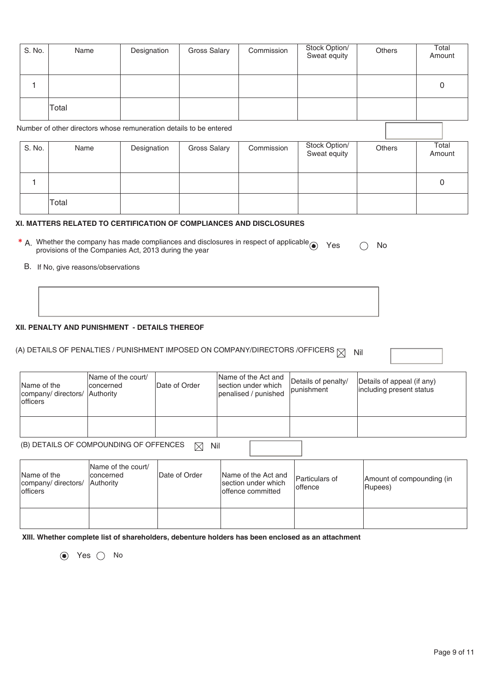| S. No. | Name                                                               | Designation | <b>Gross Salary</b> | Commission | Stock Option/<br>Sweat equity | Others | Total<br>Amount |  |
|--------|--------------------------------------------------------------------|-------------|---------------------|------------|-------------------------------|--------|-----------------|--|
|        |                                                                    |             |                     |            |                               |        | 0               |  |
|        | Total                                                              |             |                     |            |                               |        |                 |  |
|        | Number of other directors whose remuneration details to be entered |             |                     |            |                               |        |                 |  |
| S. No. | Name                                                               | Designation | Gross Salary        | Commission | Stock Option/<br>Sweat equity | Others | Total<br>Amount |  |
| 4      |                                                                    |             |                     |            |                               |        | 0               |  |
|        | Total                                                              |             |                     |            |                               |        |                 |  |

#### **XI. MATTERS RELATED TO CERTIFICATION OF COMPLIANCES AND DISCLOSURES**

| * A. Whether the company has made compliances and disclosures in respect of applicable $\odot$ Yes | $\bigcirc$ No |  |
|----------------------------------------------------------------------------------------------------|---------------|--|
| provisions of the Companies Act, 2013 during the year                                              |               |  |

B. If No, give reasons/observations

#### **XII. PENALTY AND PUNISHMENT - DETAILS THEREOF**

## (A) DETAILS OF PENALTIES / PUNISHMENT IMPOSED ON COMPANY/DIRECTORS /OFFICERS  $\boxtimes$  Nil

| Name of the<br>company/ directors/   Authority<br>lofficers | Name of the court/<br><b>concerned</b> | Date of Order | Name of the Act and<br>section under which<br>penalised / punished | Details of penalty/<br><i>s</i> lpunishment | Details of appeal (if any)<br>including present status |
|-------------------------------------------------------------|----------------------------------------|---------------|--------------------------------------------------------------------|---------------------------------------------|--------------------------------------------------------|
|                                                             |                                        |               |                                                                    |                                             |                                                        |

(B) DETAILS OF COMPOUNDING OF OFFENCES  $\boxtimes$  Nil

| Name of the<br>company/ directors/<br>lofficers | Name of the court/<br>Iconcerned<br><b>Authority</b> | Date of Order | Name of the Act and<br>section under which<br>loffence committed | Particulars of<br>loffence | Amount of compounding (in<br>Rupees) |
|-------------------------------------------------|------------------------------------------------------|---------------|------------------------------------------------------------------|----------------------------|--------------------------------------|
|                                                 |                                                      |               |                                                                  |                            |                                      |

**XIII. Whether complete list of shareholders, debenture holders has been enclosed as an attachment** 

 $\odot$  Yes  $\odot$  No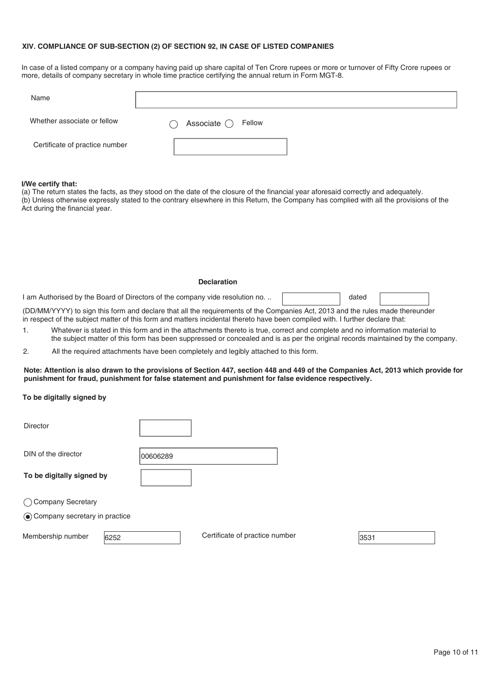#### **XIV. COMPLIANCE OF SUB-SECTION (2) OF SECTION 92, IN CASE OF LISTED COMPANIES**

In case of a listed company or a company having paid up share capital of Ten Crore rupees or more or turnover of Fifty Crore rupees or more, details of company secretary in whole time practice certifying the annual return in Form MGT-8.

| Name                           |                                  |  |
|--------------------------------|----------------------------------|--|
| Whether associate or fellow    | Associate $\bigcirc$ Fellow<br>⌒ |  |
| Certificate of practice number |                                  |  |

#### **I/We certify that:**

(a) The return states the facts, as they stood on the date of the closure of the financial year aforesaid correctly and adequately. (b) Unless otherwise expressly stated to the contrary elsewhere in this Return, the Company has complied with all the provisions of the Act during the financial year.

I am Authorised by the Board of Directors of the company vide resolution no. ..

dated

(DD/MM/YYYY) to sign this form and declare that all the requirements of the Companies Act, 2013 and the rules made thereunder in respect of the subject matter of this form and matters incidental thereto have been compiled with. I further declare that:

- 1. Whatever is stated in this form and in the attachments thereto is true, correct and complete and no information material to the subject matter of this form has been suppressed or concealed and is as per the original records maintained by the company.
- 2. All the required attachments have been completely and legibly attached to this form.

**Note: Attention is also drawn to the provisions of Section 447, section 448 and 449 of the Companies Act, 2013 which provide for punishment for fraud, punishment for false statement and punishment for false evidence respectively.** 

#### **To be digitally signed by**

| <b>Director</b>                 |          |                                |      |
|---------------------------------|----------|--------------------------------|------|
| DIN of the director             | 00606289 |                                |      |
| To be digitally signed by       |          |                                |      |
| ◯ Company Secretary             |          |                                |      |
| ◉ Company secretary in practice |          |                                |      |
| Membership number<br>6252       |          | Certificate of practice number | 3531 |